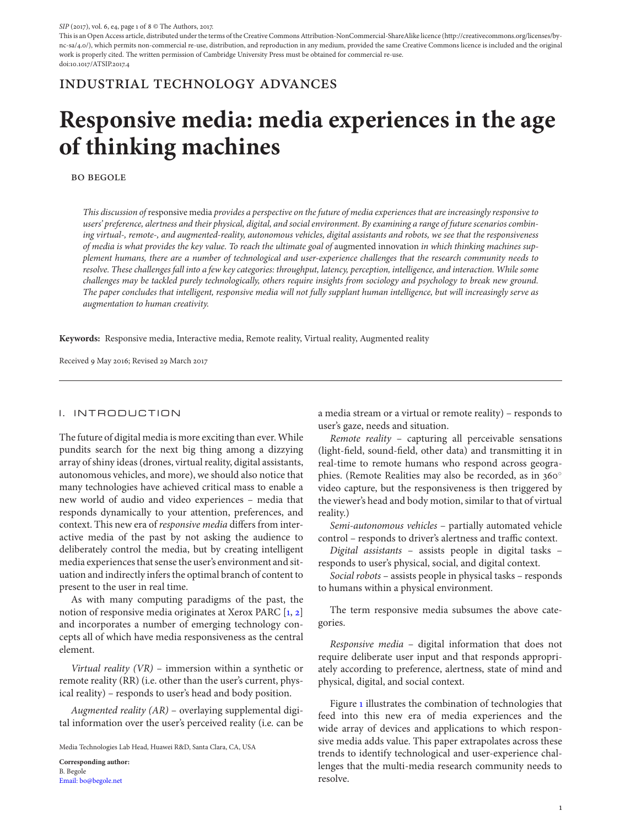This is an Open Access article, distributed under the terms of the Creative Commons Attribution-NonCommercial-ShareAlike licence (http://creativecommons.org/licenses/bync-sa/4.0/), which permits non-commercial re-use, distribution, and reproduction in any medium, provided the same Creative Commons licence is included and the original work is properly cited. The written permission of Cambridge University Press must be obtained for commercial re-use. doi:10.1017/ATSIP.2017.4

# industrial technology advances

# **Responsive media: media experiences in the age of thinking machines**

## bo begole

*This discussion of* responsive media *provides a perspective on the future of media experiences that are increasingly responsive to users' preference, alertness and their physical, digital, and social environment. By examining a range of future scenarios combining virtual-, remote-, and augmented-reality, autonomous vehicles, digital assistants and robots, we see that the responsiveness of media is what provides the key value. To reach the ultimate goal of* augmented innovation *in which thinking machines supplement humans, there are a number of technological and user-experience challenges that the research community needs to resolve. These challenges fall into a few key categories: throughput, latency, perception, intelligence, and interaction. While some challenges may be tackled purely technologically, others require insights from sociology and psychology to break new ground. The paper concludes that intelligent, responsive media will not fully supplant human intelligence, but will increasingly serve as augmentation to human creativity.*

**Keywords:** Responsive media, Interactive media, Remote reality, Virtual reality, Augmented reality

Received 9 May 2016; Revised 29 March 2017

## I. INTRODUCTION

The future of digital media is more exciting than ever. While pundits search for the next big thing among a dizzying array of shiny ideas (drones, virtual reality, digital assistants, autonomous vehicles, and more), we should also notice that many technologies have achieved critical mass to enable a new world of audio and video experiences – media that responds dynamically to your attention, preferences, and context. This new era of *responsive media* differs from interactive media of the past by not asking the audience to deliberately control the media, but by creating intelligent media experiences that sense the user's environment and situation and indirectly infers the optimal branch of content to present to the user in real time.

As with many computing paradigms of the past, the notion of responsive media originates at Xerox PARC [\[1,](#page-6-0) [2\]](#page-6-1) and incorporates a number of emerging technology concepts all of which have media responsiveness as the central element.

*Virtual reality (VR)* – immersion within a synthetic or remote reality (RR) (i.e. other than the user's current, physical reality) – responds to user's head and body position.

*Augmented reality (AR)* – overlaying supplemental digital information over the user's perceived reality (i.e. can be

Media Technologies Lab Head, Huawei R&D, Santa Clara, CA, USA

**Corresponding author:** B. Begole [Email: bo@begole.net](mailto:bo@begole.net)

a media stream or a virtual or remote reality) – responds to user's gaze, needs and situation.

*Remote reality* – capturing all perceivable sensations (light-field, sound-field, other data) and transmitting it in real-time to remote humans who respond across geographies. (Remote Realities may also be recorded, as in 360° video capture, but the responsiveness is then triggered by the viewer's head and body motion, similar to that of virtual reality.)

*Semi-autonomous vehicles* – partially automated vehicle control – responds to driver's alertness and traffic context.

*Digital assistants* – assists people in digital tasks – responds to user's physical, social, and digital context.

*Social robots* – assists people in physical tasks – responds to humans within a physical environment.

The term responsive media subsumes the above categories.

*Responsive media* – digital information that does not require deliberate user input and that responds appropriately according to preference, alertness, state of mind and physical, digital, and social context.

Figure [1](#page-1-0) illustrates the combination of technologies that feed into this new era of media experiences and the wide array of devices and applications to which responsive media adds value. This paper extrapolates across these trends to identify technological and user-experience challenges that the multi-media research community needs to resolve.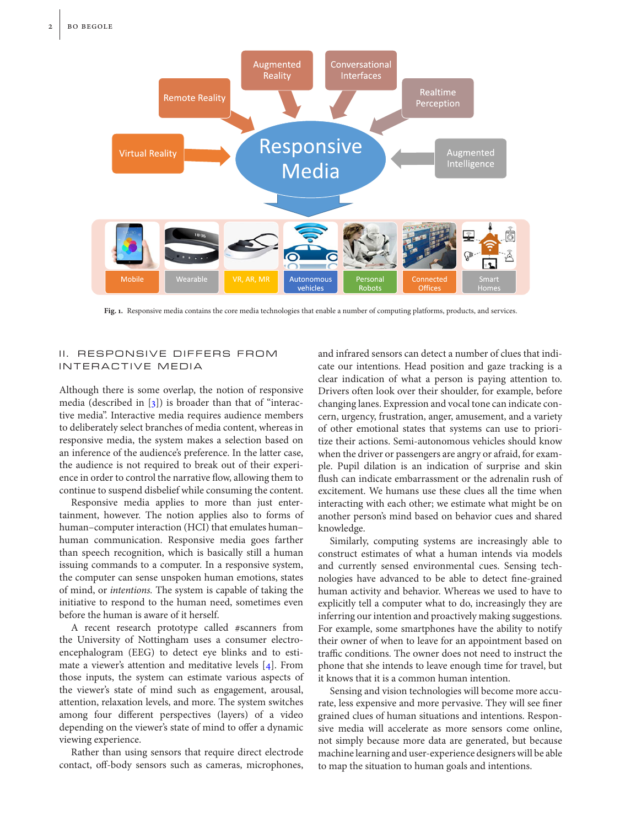

<span id="page-1-0"></span>**Fig. 1.** Responsive media contains the core media technologies that enable a number of computing platforms, products, and services.

# II. RESPONSIVE DIFFERS FROM INTERACTIVE MEDIA

Although there is some overlap, the notion of responsive media (described in [\[3\]](#page-6-2)) is broader than that of "interactive media". Interactive media requires audience members to deliberately select branches of media content, whereas in responsive media, the system makes a selection based on an inference of the audience's preference. In the latter case, the audience is not required to break out of their experience in order to control the narrative flow, allowing them to continue to suspend disbelief while consuming the content.

Responsive media applies to more than just entertainment, however. The notion applies also to forms of human–computer interaction (HCI) that emulates human– human communication. Responsive media goes farther than speech recognition, which is basically still a human issuing commands to a computer. In a responsive system, the computer can sense unspoken human emotions, states of mind, or *intentions.* The system is capable of taking the initiative to respond to the human need, sometimes even before the human is aware of it herself.

A recent research prototype called #scanners from the University of Nottingham uses a consumer electroencephalogram (EEG) to detect eye blinks and to estimate a viewer's attention and meditative levels [\[4\]](#page-6-3). From those inputs, the system can estimate various aspects of the viewer's state of mind such as engagement, arousal, attention, relaxation levels, and more. The system switches among four different perspectives (layers) of a video depending on the viewer's state of mind to offer a dynamic viewing experience.

Rather than using sensors that require direct electrode contact, off-body sensors such as cameras, microphones, and infrared sensors can detect a number of clues that indicate our intentions. Head position and gaze tracking is a clear indication of what a person is paying attention to. Drivers often look over their shoulder, for example, before changing lanes. Expression and vocal tone can indicate concern, urgency, frustration, anger, amusement, and a variety of other emotional states that systems can use to prioritize their actions. Semi-autonomous vehicles should know when the driver or passengers are angry or afraid, for example. Pupil dilation is an indication of surprise and skin flush can indicate embarrassment or the adrenalin rush of excitement. We humans use these clues all the time when interacting with each other; we estimate what might be on another person's mind based on behavior cues and shared knowledge.

Similarly, computing systems are increasingly able to construct estimates of what a human intends via models and currently sensed environmental cues. Sensing technologies have advanced to be able to detect fine-grained human activity and behavior. Whereas we used to have to explicitly tell a computer what to do, increasingly they are inferring our intention and proactively making suggestions. For example, some smartphones have the ability to notify their owner of when to leave for an appointment based on traffic conditions. The owner does not need to instruct the phone that she intends to leave enough time for travel, but it knows that it is a common human intention.

Sensing and vision technologies will become more accurate, less expensive and more pervasive. They will see finer grained clues of human situations and intentions. Responsive media will accelerate as more sensors come online, not simply because more data are generated, but because machine learning and user-experience designers will be able to map the situation to human goals and intentions.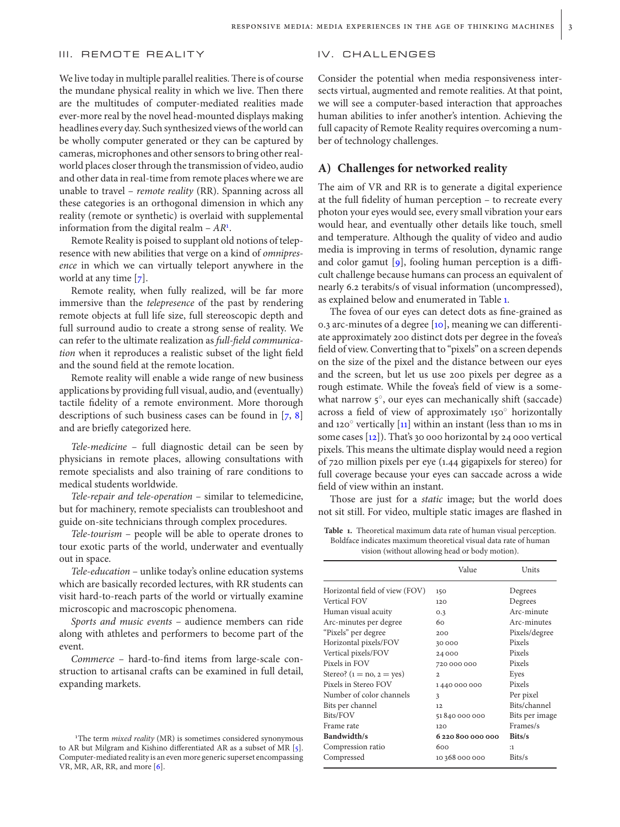#### III. REMOTE REALITY

We live today in multiple parallel realities. There is of course the mundane physical reality in which we live. Then there are the multitudes of computer-mediated realities made ever-more real by the novel head-mounted displays making headlines every day. Such synthesized views of the world can be wholly computer generated or they can be captured by cameras, microphones and other sensors to bring other realworld places closer through the transmission of video, audio and other data in real-time from remote places where we are unable to travel – *remote reality* (RR). Spanning across all these categories is an orthogonal dimension in which any reality (remote or synthetic) is overlaid with supplemental information from the digital realm – *AR*[1](#page-2-0) .

Remote Reality is poised to supplant old notions of telepresence with new abilities that verge on a kind of *omnipresence* in which we can virtually teleport anywhere in the world at any time [\[7\]](#page-6-4).

Remote reality, when fully realized, will be far more immersive than the *telepresence* of the past by rendering remote objects at full life size, full stereoscopic depth and full surround audio to create a strong sense of reality. We can refer to the ultimate realization as *full-field communication* when it reproduces a realistic subset of the light field and the sound field at the remote location.

Remote reality will enable a wide range of new business applications by providing full visual, audio, and (eventually) tactile fidelity of a remote environment. More thorough descriptions of such business cases can be found in [\[7,](#page-6-4) [8\]](#page-6-5) and are briefly categorized here.

*Tele-medicine* – full diagnostic detail can be seen by physicians in remote places, allowing consultations with remote specialists and also training of rare conditions to medical students worldwide.

*Tele-repair and tele-operation* – similar to telemedicine, but for machinery, remote specialists can troubleshoot and guide on-site technicians through complex procedures.

*Tele-tourism* – people will be able to operate drones to tour exotic parts of the world, underwater and eventually out in space.

*Tele-education* – unlike today's online education systems which are basically recorded lectures, with RR students can visit hard-to-reach parts of the world or virtually examine microscopic and macroscopic phenomena.

*Sports and music events* – audience members can ride along with athletes and performers to become part of the event.

*Commerce* – hard-to-find items from large-scale construction to artisanal crafts can be examined in full detail, expanding markets.

#### IV. CHALLENGES

Consider the potential when media responsiveness intersects virtual, augmented and remote realities. At that point, we will see a computer-based interaction that approaches human abilities to infer another's intention. Achieving the full capacity of Remote Reality requires overcoming a number of technology challenges.

# **A) Challenges for networked reality**

The aim of VR and RR is to generate a digital experience at the full fidelity of human perception – to recreate every photon your eyes would see, every small vibration your ears would hear, and eventually other details like touch, smell and temperature. Although the quality of video and audio media is improving in terms of resolution, dynamic range and color gamut [\[9\]](#page-6-8), fooling human perception is a difficult challenge because humans can process an equivalent of nearly 6.2 terabits/s of visual information (uncompressed), as explained below and enumerated in Table [1.](#page-2-1)

The fovea of our eyes can detect dots as fine-grained as 0.3 arc-minutes of a degree [\[10\]](#page-6-9), meaning we can differentiate approximately 200 distinct dots per degree in the fovea's field of view. Converting that to "pixels" on a screen depends on the size of the pixel and the distance between our eyes and the screen, but let us use 200 pixels per degree as a rough estimate. While the fovea's field of view is a somewhat narrow 5°, our eyes can mechanically shift (saccade) across a field of view of approximately 150◦ horizontally and 120 $\degree$  vertically [\[11\]](#page-6-10) within an instant (less than 10 ms in some cases [\[12\]](#page-6-11)). That's 30 000 horizontal by 24 000 vertical pixels. This means the ultimate display would need a region of 720 million pixels per eye (1.44 gigapixels for stereo) for full coverage because your eyes can saccade across a wide field of view within an instant.

Those are just for a *static* image; but the world does not sit still. For video, multiple static images are flashed in

<span id="page-2-1"></span>**Table 1.** Theoretical maximum data rate of human visual perception. Boldface indicates maximum theoretical visual data rate of human vision (without allowing head or body motion).

|                                | Value          | Units          |
|--------------------------------|----------------|----------------|
| Horizontal field of view (FOV) | 150            | Degrees        |
| Vertical FOV                   | 120            | Degrees        |
| Human visual acuity            | 0.3            | Arc-minute     |
| Arc-minutes per degree         | 60             | Arc-minutes    |
| "Pixels" per degree            | 200            | Pixels/degree  |
| Horizontal pixels/FOV          | 30000          | Pixels         |
| Vertical pixels/FOV            | 24 000         | Pixels         |
| Pixels in FOV                  | 720 000 000    | Pixels         |
| Stereo? $(1 = no, 2 = yes)$    | $\mathbf{2}$   | Eyes           |
| Pixels in Stereo FOV           | 1440000000     | Pixels         |
| Number of color channels       | 3              | Per pixel      |
| Bits per channel               | 12             | Bits/channel   |
| Bits/FOV                       | 51 840 000 000 | Bits per image |
| Frame rate                     | 120            | Frames/s       |
| <b>Bandwidth/s</b>             | 6220800000000  | Bits/s         |
| Compression ratio              | 600            | $\mathbf{1}$   |
| Compressed                     | 10 368 000 000 | Bits/s         |

<span id="page-2-0"></span><sup>&</sup>lt;sup>1</sup>The term *mixed reality* (MR) is sometimes considered synonymous to AR but Milgram and Kishino differentiated AR as a subset of MR [\[5\]](#page-6-6). Computer-mediated reality is an even more generic superset encompassing VR, MR, AR, RR, and more [\[6\]](#page-6-7).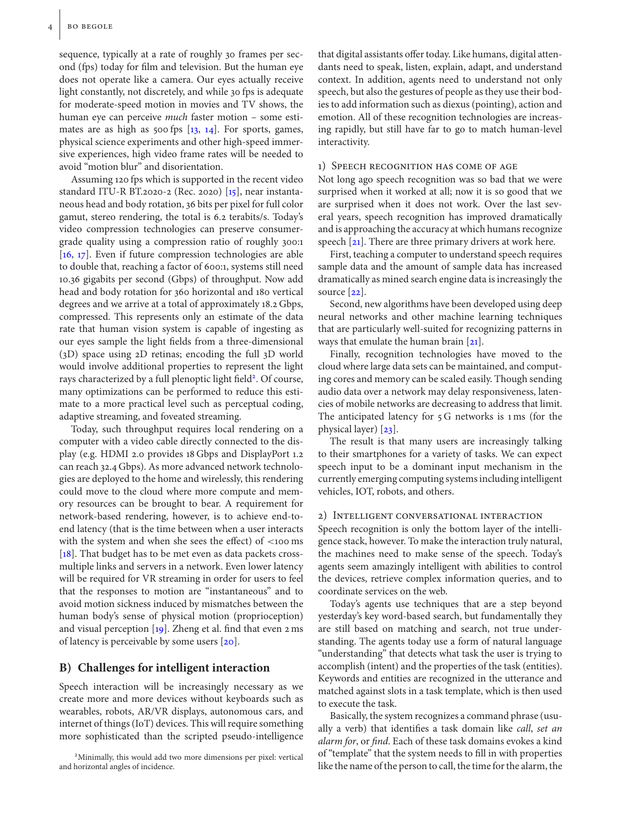sequence, typically at a rate of roughly 30 frames per second (fps) today for film and television. But the human eye does not operate like a camera. Our eyes actually receive light constantly, not discretely, and while 30 fps is adequate for moderate-speed motion in movies and TV shows, the human eye can perceive *much* faster motion – some estimates are as high as 500 fps [\[13,](#page-6-12) [14\]](#page-7-0). For sports, games, physical science experiments and other high-speed immersive experiences, high video frame rates will be needed to avoid "motion blur" and disorientation.

Assuming 120 fps which is supported in the recent video standard ITU-R BT.2020-2 (Rec. 2020) [\[15\]](#page-7-1), near instantaneous head and body rotation, 36 bits per pixel for full color gamut, stereo rendering, the total is 6.2 terabits/s. Today's video compression technologies can preserve consumergrade quality using a compression ratio of roughly 300:1 [\[16,](#page-7-2) [17\]](#page-7-3). Even if future compression technologies are able to double that, reaching a factor of 600:1, systems still need 10.36 gigabits per second (Gbps) of throughput. Now add head and body rotation for 360 horizontal and 180 vertical degrees and we arrive at a total of approximately 18.2 Gbps, compressed. This represents only an estimate of the data rate that human vision system is capable of ingesting as our eyes sample the light fields from a three-dimensional (3D) space using 2D retinas; encoding the full 3D world would involve additional properties to represent the light rays characterized by a full plenoptic light field<sup>2</sup>. Of course, many optimizations can be performed to reduce this estimate to a more practical level such as perceptual coding, adaptive streaming, and foveated streaming.

Today, such throughput requires local rendering on a computer with a video cable directly connected to the display (e.g. HDMI 2.0 provides 18 Gbps and DisplayPort 1.2 can reach 32.4 Gbps). As more advanced network technologies are deployed to the home and wirelessly, this rendering could move to the cloud where more compute and memory resources can be brought to bear. A requirement for network-based rendering, however, is to achieve end-toend latency (that is the time between when a user interacts with the system and when she sees the effect) of *<*100 ms [\[18\]](#page-7-4). That budget has to be met even as data packets crossmultiple links and servers in a network. Even lower latency will be required for VR streaming in order for users to feel that the responses to motion are "instantaneous" and to avoid motion sickness induced by mismatches between the human body's sense of physical motion (proprioception) and visual perception [\[19\]](#page-7-5). Zheng et al. find that even 2 ms of latency is perceivable by some users [\[20\]](#page-7-6).

# **B) Challenges for intelligent interaction**

Speech interaction will be increasingly necessary as we create more and more devices without keyboards such as wearables, robots, AR/VR displays, autonomous cars, and internet of things (IoT) devices. This will require something more sophisticated than the scripted pseudo-intelligence that digital assistants offer today. Like humans, digital attendants need to speak, listen, explain, adapt, and understand context. In addition, agents need to understand not only speech, but also the gestures of people as they use their bodies to add information such as diexus (pointing), action and emotion. All of these recognition technologies are increasing rapidly, but still have far to go to match human-level interactivity.

#### 1) Speech recognition has come of age

Not long ago speech recognition was so bad that we were surprised when it worked at all; now it is so good that we are surprised when it does not work. Over the last several years, speech recognition has improved dramatically and is approaching the accuracy at which humans recognize speech [\[21\]](#page-7-7). There are three primary drivers at work here.

First, teaching a computer to understand speech requires sample data and the amount of sample data has increased dramatically as mined search engine data is increasingly the source  $[22]$ .

Second, new algorithms have been developed using deep neural networks and other machine learning techniques that are particularly well-suited for recognizing patterns in ways that emulate the human brain [\[21\]](#page-7-7).

Finally, recognition technologies have moved to the cloud where large data sets can be maintained, and computing cores and memory can be scaled easily. Though sending audio data over a network may delay responsiveness, latencies of mobile networks are decreasing to address that limit. The anticipated latency for 5 G networks is 1 ms (for the physical layer)  $[23]$ .

The result is that many users are increasingly talking to their smartphones for a variety of tasks. We can expect speech input to be a dominant input mechanism in the currently emerging computing systems including intelligent vehicles, IOT, robots, and others.

## 2) Intelligent conversational interaction

Speech recognition is only the bottom layer of the intelligence stack, however. To make the interaction truly natural, the machines need to make sense of the speech. Today's agents seem amazingly intelligent with abilities to control the devices, retrieve complex information queries, and to coordinate services on the web.

Today's agents use techniques that are a step beyond yesterday's key word-based search, but fundamentally they are still based on matching and search, not true understanding. The agents today use a form of natural language "understanding" that detects what task the user is trying to accomplish (intent) and the properties of the task (entities). Keywords and entities are recognized in the utterance and matched against slots in a task template, which is then used to execute the task.

Basically, the system recognizes a command phrase (usually a verb) that identifies a task domain like *call*, *set an alarm for*, or *find*. Each of these task domains evokes a kind of "template" that the system needs to fill in with properties like the name of the person to call, the time for the alarm, the

<span id="page-3-0"></span><sup>2</sup>Minimally, this would add two more dimensions per pixel: vertical and horizontal angles of incidence.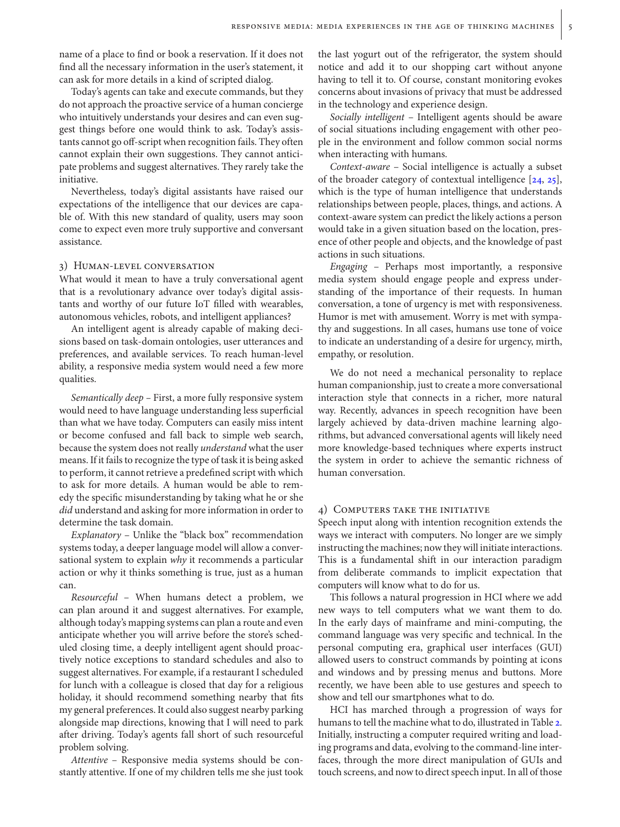name of a place to find or book a reservation. If it does not find all the necessary information in the user's statement, it can ask for more details in a kind of scripted dialog.

Today's agents can take and execute commands, but they do not approach the proactive service of a human concierge who intuitively understands your desires and can even suggest things before one would think to ask. Today's assistants cannot go off-script when recognition fails. They often cannot explain their own suggestions. They cannot anticipate problems and suggest alternatives. They rarely take the initiative.

Nevertheless, today's digital assistants have raised our expectations of the intelligence that our devices are capable of. With this new standard of quality, users may soon come to expect even more truly supportive and conversant assistance.

#### 3) Human-level conversation

What would it mean to have a truly conversational agent that is a revolutionary advance over today's digital assistants and worthy of our future IoT filled with wearables, autonomous vehicles, robots, and intelligent appliances?

An intelligent agent is already capable of making decisions based on task-domain ontologies, user utterances and preferences, and available services. To reach human-level ability, a responsive media system would need a few more qualities.

*Semantically deep –* First, a more fully responsive system would need to have language understanding less superficial than what we have today. Computers can easily miss intent or become confused and fall back to simple web search, because the system does not really *understand* what the user means. If it fails to recognize the type of task it is being asked to perform, it cannot retrieve a predefined script with which to ask for more details. A human would be able to remedy the specific misunderstanding by taking what he or she *did* understand and asking for more information in order to determine the task domain.

*Explanatory* – Unlike the "black box" recommendation systems today, a deeper language model will allow a conversational system to explain *why* it recommends a particular action or why it thinks something is true, just as a human can.

*Resourceful* – When humans detect a problem, we can plan around it and suggest alternatives. For example, although today's mapping systems can plan a route and even anticipate whether you will arrive before the store's scheduled closing time, a deeply intelligent agent should proactively notice exceptions to standard schedules and also to suggest alternatives. For example, if a restaurant I scheduled for lunch with a colleague is closed that day for a religious holiday, it should recommend something nearby that fits my general preferences. It could also suggest nearby parking alongside map directions, knowing that I will need to park after driving. Today's agents fall short of such resourceful problem solving.

*Attentive* – Responsive media systems should be constantly attentive. If one of my children tells me she just took the last yogurt out of the refrigerator, the system should notice and add it to our shopping cart without anyone having to tell it to. Of course, constant monitoring evokes concerns about invasions of privacy that must be addressed in the technology and experience design.

*Socially intelligent* – Intelligent agents should be aware of social situations including engagement with other people in the environment and follow common social norms when interacting with humans.

*Context-aware* – Social intelligence is actually a subset of the broader category of contextual intelligence [\[24,](#page-7-10) [25\]](#page-7-11), which is the type of human intelligence that understands relationships between people, places, things, and actions. A context-aware system can predict the likely actions a person would take in a given situation based on the location, presence of other people and objects, and the knowledge of past actions in such situations.

*Engaging* – Perhaps most importantly, a responsive media system should engage people and express understanding of the importance of their requests. In human conversation, a tone of urgency is met with responsiveness. Humor is met with amusement. Worry is met with sympathy and suggestions. In all cases, humans use tone of voice to indicate an understanding of a desire for urgency, mirth, empathy, or resolution.

We do not need a mechanical personality to replace human companionship, just to create a more conversational interaction style that connects in a richer, more natural way. Recently, advances in speech recognition have been largely achieved by data-driven machine learning algorithms, but advanced conversational agents will likely need more knowledge-based techniques where experts instruct the system in order to achieve the semantic richness of human conversation.

## 4) Computers take the initiative

Speech input along with intention recognition extends the ways we interact with computers. No longer are we simply instructing the machines; now they will initiate interactions. This is a fundamental shift in our interaction paradigm from deliberate commands to implicit expectation that computers will know what to do for us.

This follows a natural progression in HCI where we add new ways to tell computers what we want them to do. In the early days of mainframe and mini-computing, the command language was very specific and technical. In the personal computing era, graphical user interfaces (GUI) allowed users to construct commands by pointing at icons and windows and by pressing menus and buttons. More recently, we have been able to use gestures and speech to show and tell our smartphones what to do.

HCI has marched through a progression of ways for humans to tell the machine what to do, illustrated in Table [2.](#page-5-0) Initially, instructing a computer required writing and loading programs and data, evolving to the command-line interfaces, through the more direct manipulation of GUIs and touch screens, and now to direct speech input. In all of those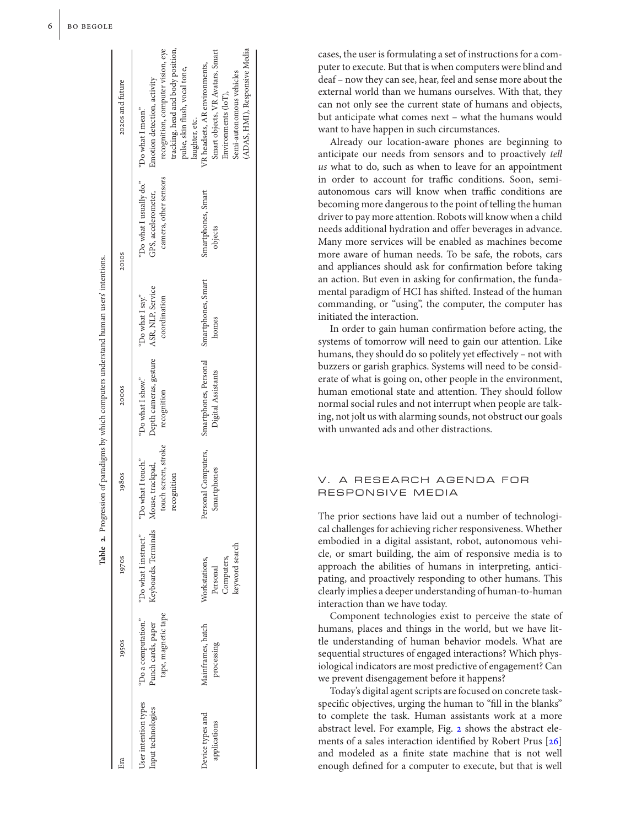|                                            |                                                                  |                                                           |                                                                               | Table 2. Progression of paradigms by which computers understand human users' intentions. |                                                       |                                                                         |                                                                                                                                                                         |
|--------------------------------------------|------------------------------------------------------------------|-----------------------------------------------------------|-------------------------------------------------------------------------------|------------------------------------------------------------------------------------------|-------------------------------------------------------|-------------------------------------------------------------------------|-------------------------------------------------------------------------------------------------------------------------------------------------------------------------|
| Èra                                        | 19508                                                            | 19708                                                     | 1980s                                                                         | 2000S                                                                                    |                                                       | <b>2010S</b>                                                            | 2020s and future                                                                                                                                                        |
| Jser intention types<br>Input technologies | 'Do a computation."<br>tape, magnetic tape<br>Punch cards, paper | Keyboards. Terminals<br>"Do what I instruct."             | touch screen, stroke<br>"Do what I touch."<br>Mouse, trackpad,<br>recognition | Depth cameras, gesture<br>"Do what I show."<br>recognition                               | ASR, NLP, Service<br>"Do what I say."<br>coordination | "Do what I usually do."<br>camera, other sensors<br>GPS, accelerometer, | recognition, computer vision, eye<br>tracking, head and body position,<br>pulse, skin flush, vocal tone,<br>Emotion detection, activity<br>"Do what I mean."            |
| Jevice types and<br>applications           | Mainframes, batch<br>processing                                  | keyword search<br>Computers,<br>Workstations,<br>Personal | Personal Computers,<br>Smartphones                                            | Smartphones, Personal<br>Digital Assistants                                              | Smartphones, Smart<br>homes                           | Smartphones, Smart<br>objects                                           | Smart objects, VR Avatars, Smart<br>(ADAS, HMI), Responsive Media<br>VR headsets, AR environments,<br>Semi-autonomous vehicles<br>Environments (loT),<br>laughter, etc. |

cases, the user is formulating a set of instructions for a computer to execute. But that is when computers were blind and deaf – now they can see, hear, feel and sense more about the external world than we humans ourselves. With that, they can not only see the current state of humans and objects, but anticipate what comes next – what the humans would want to have happen in such circumstances.

Already our location-aware phones are beginning to anticipate our needs from sensors and to proactively *tell us* what to do, such as when to leave for an appointment in order to account for traffic conditions. Soon, semiautonomous cars will know when traffic conditions are becoming more dangerous to the point of telling the human driver to pay more attention. Robots will know when a child needs additional hydration and offer beverages in advance. Many more services will be enabled as machines become more aware of human needs. To be safe, the robots, cars and appliances should ask for confirmation before taking an action. But even in asking for confirmation, the fundamental paradigm of HCI has shifted. Instead of the human commanding, or "using", the computer, the computer has initiated the interaction.

In order to gain human confirmation before acting, the systems of tomorrow will need to gain our attention. Like humans, they should do so politely yet effectively – not with buzzers or garish graphics. Systems will need to be considerate of what is going on, other people in the environment, human emotional state and attention. They should follow normal social rules and not interrupt when people are talking, not jolt us with alarming sounds, not obstruct our goals with unwanted ads and other distractions.

# V. A RESEARCH AGENDA FOR RESPONSIVE MEDIA

The prior sections have laid out a number of technological challenges for achieving richer responsiveness. Whether embodied in a digital assistant, robot, autonomous vehicle, or smart building, the aim of responsive media is to approach the abilities of humans in interpreting, anticipating, and proactively responding to other humans. This clearly implies a deeper understanding of human-to-human interaction than we have today.

Component technologies exist to perceive the state of humans, places and things in the world, but we have little understanding of human behavior models. What are sequential structures of engaged interactions? Which physiological indicators are most predictive of engagement? Can we prevent disengagement before it happens?

<span id="page-5-0"></span>Today's digital agent scripts are focused on concrete taskspecific objectives, urging the human to "fill in the blanks" to complete the task. Human assistants work at a more abstract level. For example, Fig. [2](#page-6-13) shows the abstract elements of a sales interaction identified by Robert Prus [\[26\]](#page-7-12) and modeled as a finite state machine that is not well enough defined for a computer to execute, but that is well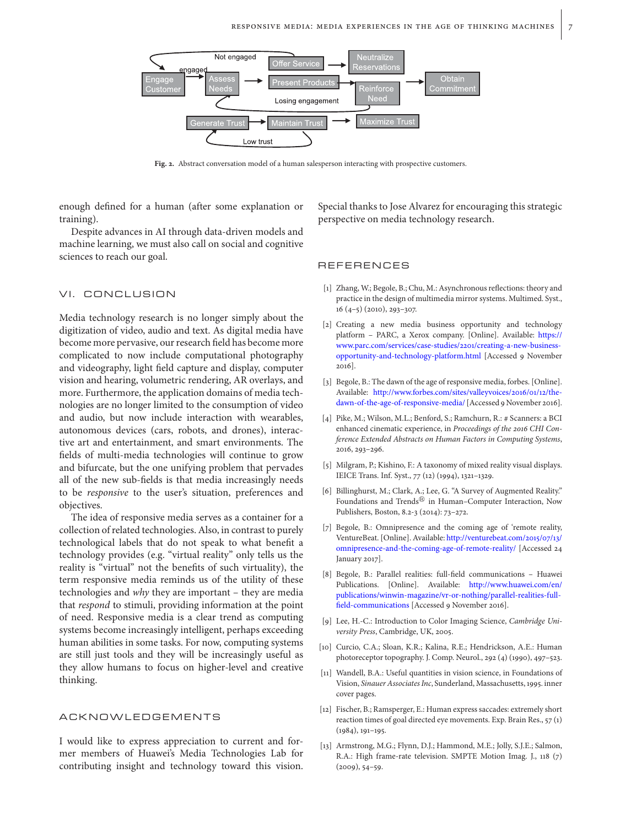

<span id="page-6-13"></span>**Fig. 2.** Abstract conversation model of a human salesperson interacting with prospective customers.

enough defined for a human (after some explanation or training).

Despite advances in AI through data-driven models and machine learning, we must also call on social and cognitive sciences to reach our goal.

## VI. CONCLUSION

Media technology research is no longer simply about the digitization of video, audio and text. As digital media have become more pervasive, our research field has become more complicated to now include computational photography and videography, light field capture and display, computer vision and hearing, volumetric rendering, AR overlays, and more. Furthermore, the application domains of media technologies are no longer limited to the consumption of video and audio, but now include interaction with wearables, autonomous devices (cars, robots, and drones), interactive art and entertainment, and smart environments. The fields of multi-media technologies will continue to grow and bifurcate, but the one unifying problem that pervades all of the new sub-fields is that media increasingly needs to be *responsive* to the user's situation, preferences and objectives.

The idea of responsive media serves as a container for a collection of related technologies. Also, in contrast to purely technological labels that do not speak to what benefit a technology provides (e.g. "virtual reality" only tells us the reality is "virtual" not the benefits of such virtuality), the term responsive media reminds us of the utility of these technologies and *why* they are important – they are media that *respond* to stimuli, providing information at the point of need. Responsive media is a clear trend as computing systems become increasingly intelligent, perhaps exceeding human abilities in some tasks. For now, computing systems are still just tools and they will be increasingly useful as they allow humans to focus on higher-level and creative thinking.

## ACKNOWLEDGEMENTS

I would like to express appreciation to current and former members of Huawei's Media Technologies Lab for contributing insight and technology toward this vision. Special thanks to Jose Alvarez for encouraging this strategic perspective on media technology research.

# REFERENCES

- <span id="page-6-0"></span>[1] Zhang, W.; Begole, B.; Chu, M.: Asynchronous reflections: theory and practice in the design of multimedia mirror systems. Multimed. Syst., 16 (4–5) (2010), 293–307.
- <span id="page-6-1"></span>[2] Creating a new media business opportunity and technology platform – PARC, a Xerox company. [Online]. Available: [https://](https://www.parc.com/services/case-studies/2201/creating-a-new-business-opportunity-and-technology-platform.html) [www.parc.com/services/case-studies/2201/creating-a-new-business](https://www.parc.com/services/case-studies/2201/creating-a-new-business-opportunity-and-technology-platform.html)[opportunity-and-technology-platform.html](https://www.parc.com/services/case-studies/2201/creating-a-new-business-opportunity-and-technology-platform.html) [Accessed 9 November 2016].
- <span id="page-6-2"></span>[3] Begole, B.: The dawn of the age of responsive media, forbes. [Online]. Available: [http://www.forbes.com/sites/valleyvoices/2016/01/12/the](http://www.forbes.com/sites/valleyvoices/2016/01/12/the-dawn-of-the-age-of-responsive-media/)[dawn-of-the-age-of-responsive-media/\[](http://www.forbes.com/sites/valleyvoices/2016/01/12/the-dawn-of-the-age-of-responsive-media/)Accessed 9 November 2016].
- <span id="page-6-3"></span>[4] Pike, M.; Wilson, M.L.; Benford, S.; Ramchurn, R.: # Scanners: a BCI enhanced cinematic experience, in *Proceedings of the 2016 CHI Conference Extended Abstracts on Human Factors in Computing Systems*, 2016, 293–296.
- <span id="page-6-6"></span>[5] Milgram, P.; Kishino, F.: A taxonomy of mixed reality visual displays. IEICE Trans. Inf. Syst., 77 (12) (1994), 1321–1329.
- <span id="page-6-7"></span>[6] Billinghurst, M.; Clark, A.; Lee, G. "A Survey of Augmented Reality." Foundations and Trends® in Human–Computer Interaction, Now Publishers, Boston, 8.2-3 (2014): 73–272.
- <span id="page-6-4"></span>[7] Begole, B.: Omnipresence and the coming age of 'remote reality, VentureBeat. [Online]. Available: [http://venturebeat.com/2015/07/13/](http://venturebeat.com/2015/07/13/omnipresence-and-the-coming-age-of-remote-reality/) [omnipresence-and-the-coming-age-of-remote-reality/](http://venturebeat.com/2015/07/13/omnipresence-and-the-coming-age-of-remote-reality/) [Accessed 24 January 2017].
- <span id="page-6-5"></span>[8] Begole, B.: Parallel realities: full-field communications – Huawei Publications. [Online]. Available: [http://www.huawei.com/en/](http://www.huawei.com/en/publications/winwin-magazine/vr-or-nothing/parallel-realities-full-field-communications) [publications/winwin-magazine/vr-or-nothing/parallel-realities-full](http://www.huawei.com/en/publications/winwin-magazine/vr-or-nothing/parallel-realities-full-field-communications)[field-communications](http://www.huawei.com/en/publications/winwin-magazine/vr-or-nothing/parallel-realities-full-field-communications) [Accessed 9 November 2016].
- <span id="page-6-8"></span>[9] Lee, H.-C.: Introduction to Color Imaging Science, *Cambridge University Press*, Cambridge, UK, 2005.
- <span id="page-6-9"></span>[10] Curcio, C.A.; Sloan, K.R.; Kalina, R.E.; Hendrickson, A.E.: Human photoreceptor topography. J. Comp. Neurol., 292 (4) (1990), 497–523.
- <span id="page-6-10"></span>[11] Wandell, B.A.: Useful quantities in vision science, in Foundations of Vision, *Sinauer Associates Inc*, Sunderland, Massachusetts, 1995. inner cover pages.
- <span id="page-6-11"></span>[12] Fischer, B.; Ramsperger, E.: Human express saccades: extremely short reaction times of goal directed eye movements. Exp. Brain Res., 57 (1) (1984), 191–195.
- <span id="page-6-12"></span>[13] Armstrong, M.G.; Flynn, D.J.; Hammond, M.E.; Jolly, S.J.E.; Salmon, R.A.: High frame-rate television. SMPTE Motion Imag. J., 118 (7) (2009), 54–59.